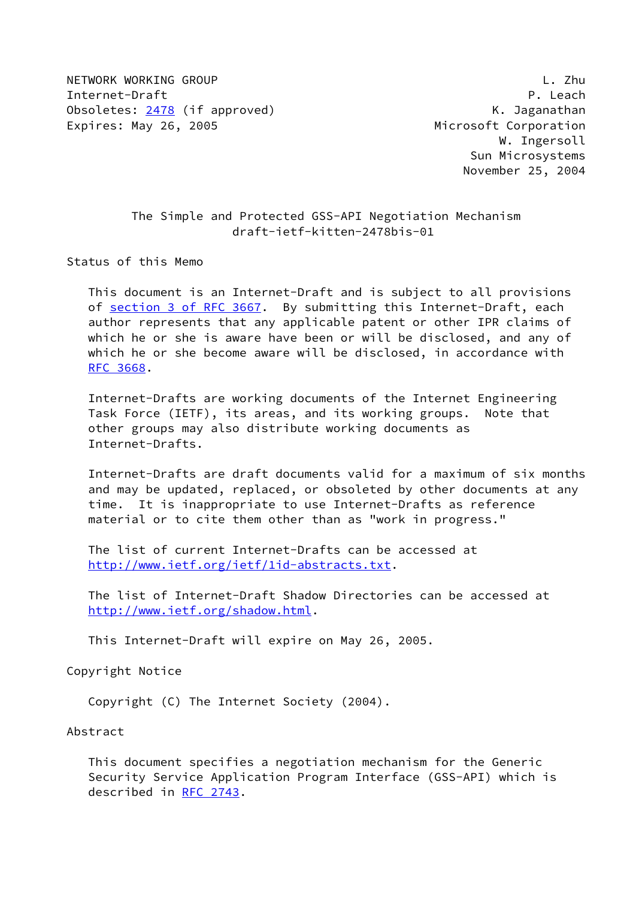NETWORK WORKING GROUP L. Zhu Internet-Draft P. Leach Obsoletes: [2478](https://datatracker.ietf.org/doc/pdf/rfc2478) (if approved) M. Jaganathan Expires: May 26, 2005 **Microsoft Corporation** 

 W. Ingersoll Sun Microsystems November 25, 2004

## The Simple and Protected GSS-API Negotiation Mechanism draft-ietf-kitten-2478bis-01

Status of this Memo

 This document is an Internet-Draft and is subject to all provisions of section [3 of RFC 3667.](https://datatracker.ietf.org/doc/pdf/rfc3667#section-3) By submitting this Internet-Draft, each author represents that any applicable patent or other IPR claims of which he or she is aware have been or will be disclosed, and any of which he or she become aware will be disclosed, in accordance with [RFC 3668](https://datatracker.ietf.org/doc/pdf/rfc3668).

 Internet-Drafts are working documents of the Internet Engineering Task Force (IETF), its areas, and its working groups. Note that other groups may also distribute working documents as Internet-Drafts.

 Internet-Drafts are draft documents valid for a maximum of six months and may be updated, replaced, or obsoleted by other documents at any time. It is inappropriate to use Internet-Drafts as reference material or to cite them other than as "work in progress."

 The list of current Internet-Drafts can be accessed at <http://www.ietf.org/ietf/1id-abstracts.txt>.

 The list of Internet-Draft Shadow Directories can be accessed at <http://www.ietf.org/shadow.html>.

This Internet-Draft will expire on May 26, 2005.

Copyright Notice

Copyright (C) The Internet Society (2004).

### Abstract

 This document specifies a negotiation mechanism for the Generic Security Service Application Program Interface (GSS-API) which is described in [RFC 2743](https://datatracker.ietf.org/doc/pdf/rfc2743).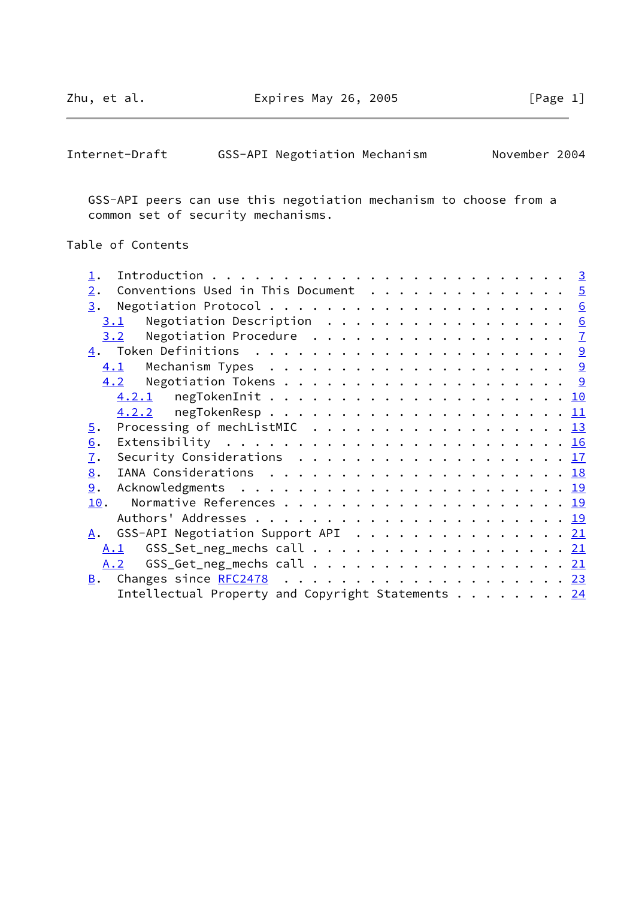$\overline{\phantom{0}}$ 

| November 2004<br>GSS-API Negotiation Mechanism<br>Internet-Draft |  |
|------------------------------------------------------------------|--|
|------------------------------------------------------------------|--|

 GSS-API peers can use this negotiation mechanism to choose from a common set of security mechanisms.

# Table of Contents

| Conventions Used in This Document $\cdots$ 5<br>2.                                                            |  |
|---------------------------------------------------------------------------------------------------------------|--|
| 3.                                                                                                            |  |
| Negotiation Description $\ldots \ldots \ldots \ldots \ldots$<br>3.1                                           |  |
| 3.2 Negotiation Procedure 7                                                                                   |  |
|                                                                                                               |  |
| 4.1                                                                                                           |  |
|                                                                                                               |  |
|                                                                                                               |  |
|                                                                                                               |  |
| Processing of mechlistMIC $\ldots \ldots \ldots \ldots \ldots \ldots \ldots \frac{13}{2}$<br>$\overline{5}$ . |  |
| Extensibility $\cdots \cdots \cdots \cdots \cdots \cdots \cdots \cdots \frac{16}{2}$<br>6.                    |  |
| Security Considerations $\cdots$ 17<br>7.                                                                     |  |
| IANA Considerations $\ldots \ldots \ldots \ldots \ldots \ldots \ldots \ldots \underline{18}$<br>8.            |  |
| 9.                                                                                                            |  |
| 10.                                                                                                           |  |
|                                                                                                               |  |
| GSS-API Negotiation Support API 21<br><u>A</u> .                                                              |  |
| A.1                                                                                                           |  |
| GSS_Get_neg_mechs call $\ldots$ 21<br>A.2                                                                     |  |
|                                                                                                               |  |
| Intellectual Property and Copyright Statements 24                                                             |  |
|                                                                                                               |  |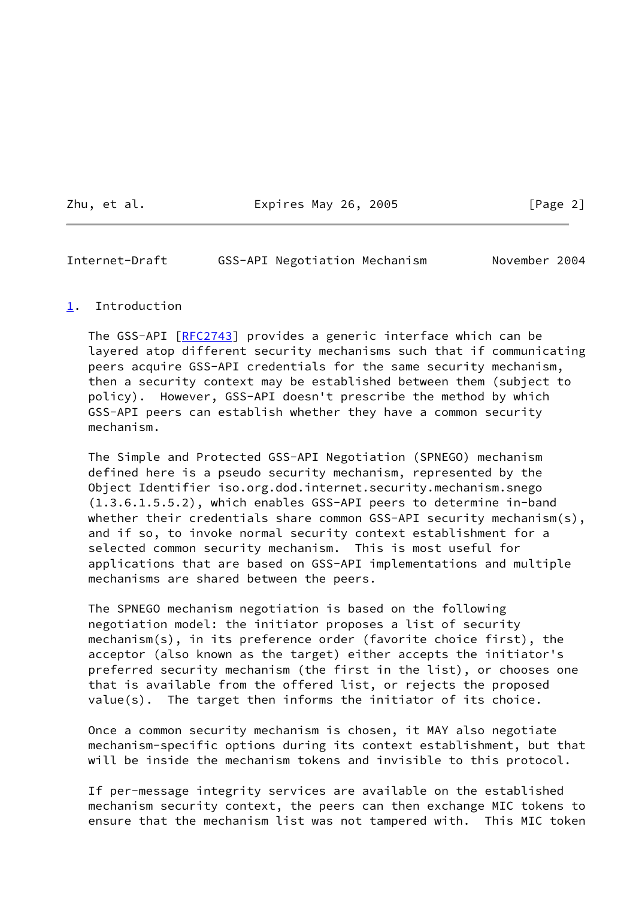Zhu, et al. **Expires May 26, 2005** [Page 2]

<span id="page-2-1"></span>Internet-Draft GSS-API Negotiation Mechanism November 2004

# <span id="page-2-0"></span>[1](#page-2-0). Introduction

The GSS-API [\[RFC2743](https://datatracker.ietf.org/doc/pdf/rfc2743)] provides a generic interface which can be layered atop different security mechanisms such that if communicating peers acquire GSS-API credentials for the same security mechanism, then a security context may be established between them (subject to policy). However, GSS-API doesn't prescribe the method by which GSS-API peers can establish whether they have a common security mechanism.

 The Simple and Protected GSS-API Negotiation (SPNEGO) mechanism defined here is a pseudo security mechanism, represented by the Object Identifier iso.org.dod.internet.security.mechanism.snego (1.3.6.1.5.5.2), which enables GSS-API peers to determine in-band whether their credentials share common GSS-API security mechanism(s), and if so, to invoke normal security context establishment for a selected common security mechanism. This is most useful for applications that are based on GSS-API implementations and multiple mechanisms are shared between the peers.

 The SPNEGO mechanism negotiation is based on the following negotiation model: the initiator proposes a list of security mechanism(s), in its preference order (favorite choice first), the acceptor (also known as the target) either accepts the initiator's preferred security mechanism (the first in the list), or chooses one that is available from the offered list, or rejects the proposed value(s). The target then informs the initiator of its choice.

 Once a common security mechanism is chosen, it MAY also negotiate mechanism-specific options during its context establishment, but that will be inside the mechanism tokens and invisible to this protocol.

 If per-message integrity services are available on the established mechanism security context, the peers can then exchange MIC tokens to ensure that the mechanism list was not tampered with. This MIC token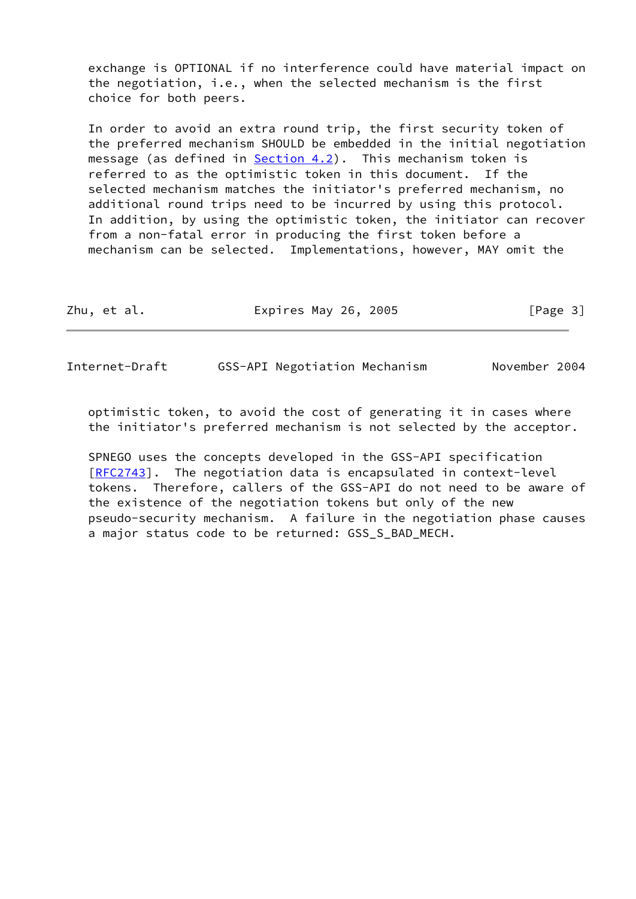exchange is OPTIONAL if no interference could have material impact on the negotiation, i.e., when the selected mechanism is the first choice for both peers.

 In order to avoid an extra round trip, the first security token of the preferred mechanism SHOULD be embedded in the initial negotiation message (as defined in [Section 4.2](#page-9-3)). This mechanism token is referred to as the optimistic token in this document. If the selected mechanism matches the initiator's preferred mechanism, no additional round trips need to be incurred by using this protocol. In addition, by using the optimistic token, the initiator can recover from a non-fatal error in producing the first token before a mechanism can be selected. Implementations, however, MAY omit the

| Zhu, et al. | Expires May 26, 2005 | [Page 3] |
|-------------|----------------------|----------|
|             |                      |          |

Internet-Draft GSS-API Negotiation Mechanism November 2004

 optimistic token, to avoid the cost of generating it in cases where the initiator's preferred mechanism is not selected by the acceptor.

 SPNEGO uses the concepts developed in the GSS-API specification [\[RFC2743](https://datatracker.ietf.org/doc/pdf/rfc2743)]. The negotiation data is encapsulated in context-level tokens. Therefore, callers of the GSS-API do not need to be aware of the existence of the negotiation tokens but only of the new pseudo-security mechanism. A failure in the negotiation phase causes a major status code to be returned: GSS\_S\_BAD\_MECH.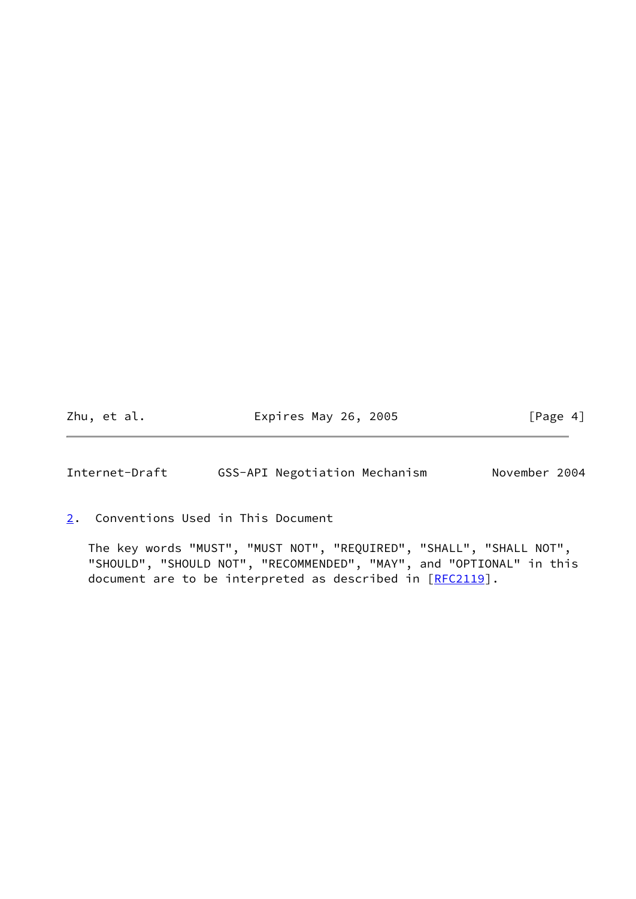Zhu, et al. **Expires May 26, 2005** [Page 4]

<span id="page-4-1"></span>Internet-Draft GSS-API Negotiation Mechanism November 2004

<span id="page-4-0"></span>[2](#page-4-0). Conventions Used in This Document

 The key words "MUST", "MUST NOT", "REQUIRED", "SHALL", "SHALL NOT", "SHOULD", "SHOULD NOT", "RECOMMENDED", "MAY", and "OPTIONAL" in this document are to be interpreted as described in [\[RFC2119](https://datatracker.ietf.org/doc/pdf/rfc2119)].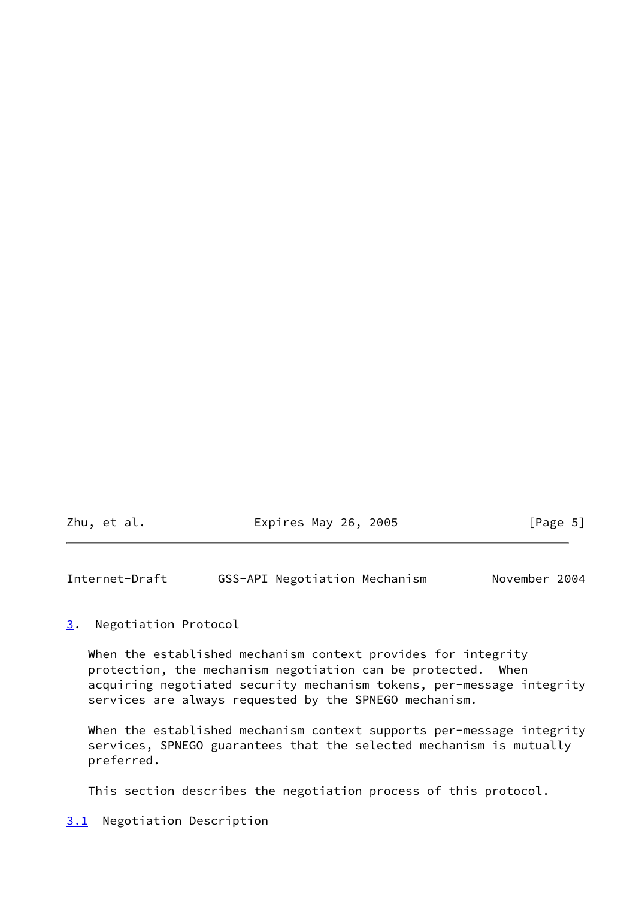| Zhu, et al. | Expires May 26, 2005 | [Page 5] |
|-------------|----------------------|----------|

<span id="page-5-1"></span>Internet-Draft GSS-API Negotiation Mechanism November 2004

<span id="page-5-0"></span>[3](#page-5-0). Negotiation Protocol

 When the established mechanism context provides for integrity protection, the mechanism negotiation can be protected. When acquiring negotiated security mechanism tokens, per-message integrity services are always requested by the SPNEGO mechanism.

When the established mechanism context supports per-message integrity services, SPNEGO guarantees that the selected mechanism is mutually preferred.

This section describes the negotiation process of this protocol.

<span id="page-5-2"></span>[3.1](#page-5-2) Negotiation Description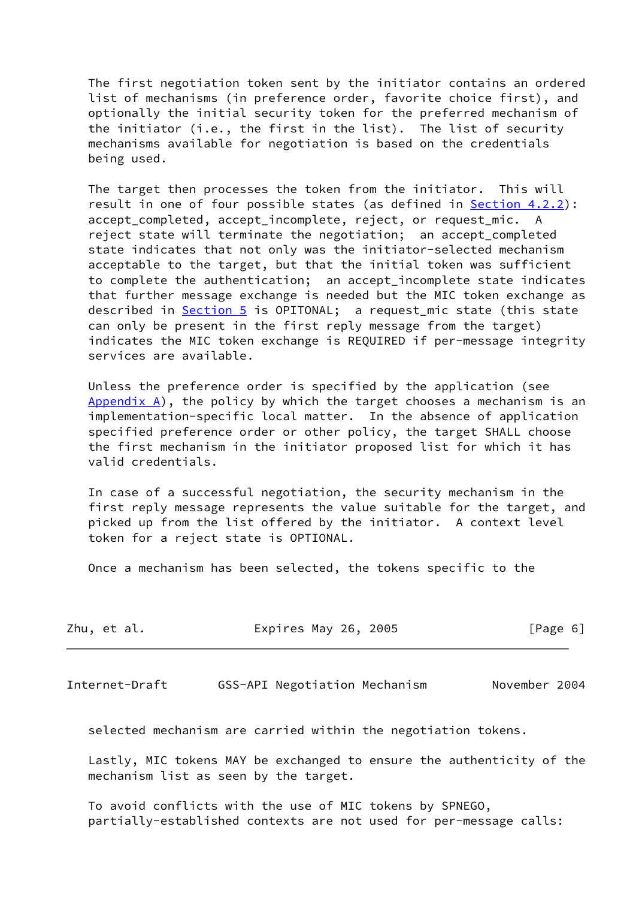The first negotiation token sent by the initiator contains an ordered list of mechanisms (in preference order, favorite choice first), and optionally the initial security token for the preferred mechanism of the initiator (i.e., the first in the list). The list of security mechanisms available for negotiation is based on the credentials being used.

 The target then processes the token from the initiator. This will result in one of four possible states (as defined in [Section 4.2.2](#page-11-0)): accept\_completed, accept\_incomplete, reject, or request\_mic. A reject state will terminate the negotiation; an accept\_completed state indicates that not only was the initiator-selected mechanism acceptable to the target, but that the initial token was sufficient to complete the authentication; an accept\_incomplete state indicates that further message exchange is needed but the MIC token exchange as described in [Section 5](#page-13-0) is OPITONAL; a request mic state (this state can only be present in the first reply message from the target) indicates the MIC token exchange is REQUIRED if per-message integrity services are available.

 Unless the preference order is specified by the application (see Appendix  $A$ ), the policy by which the target chooses a mechanism is an implementation-specific local matter. In the absence of application specified preference order or other policy, the target SHALL choose the first mechanism in the initiator proposed list for which it has valid credentials.

 In case of a successful negotiation, the security mechanism in the first reply message represents the value suitable for the target, and picked up from the list offered by the initiator. A context level token for a reject state is OPTIONAL.

Once a mechanism has been selected, the tokens specific to the

| Expires May 26, 2005<br>Zhu, et al. | [Page 6] |
|-------------------------------------|----------|
|-------------------------------------|----------|

<span id="page-6-0"></span>Internet-Draft GSS-API Negotiation Mechanism November 2004

selected mechanism are carried within the negotiation tokens.

 Lastly, MIC tokens MAY be exchanged to ensure the authenticity of the mechanism list as seen by the target.

 To avoid conflicts with the use of MIC tokens by SPNEGO, partially-established contexts are not used for per-message calls: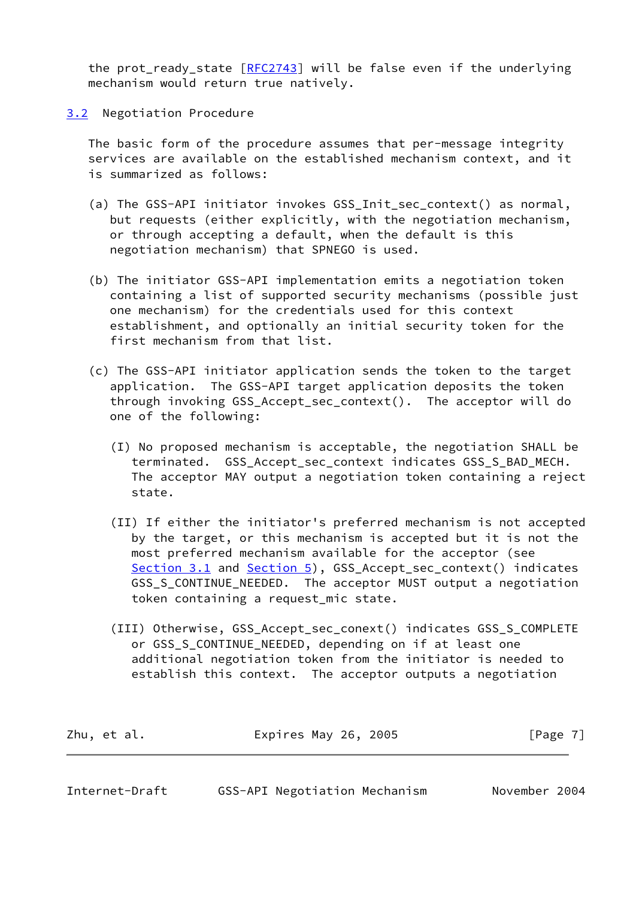the prot\_ready\_state [\[RFC2743](https://datatracker.ietf.org/doc/pdf/rfc2743)] will be false even if the underlying mechanism would return true natively.

<span id="page-7-0"></span>[3.2](#page-7-0) Negotiation Procedure

 The basic form of the procedure assumes that per-message integrity services are available on the established mechanism context, and it is summarized as follows:

- (a) The GSS-API initiator invokes GSS\_Init\_sec\_context() as normal, but requests (either explicitly, with the negotiation mechanism, or through accepting a default, when the default is this negotiation mechanism) that SPNEGO is used.
- (b) The initiator GSS-API implementation emits a negotiation token containing a list of supported security mechanisms (possible just one mechanism) for the credentials used for this context establishment, and optionally an initial security token for the first mechanism from that list.
- (c) The GSS-API initiator application sends the token to the target application. The GSS-API target application deposits the token through invoking GSS\_Accept\_sec\_context(). The acceptor will do one of the following:
	- (I) No proposed mechanism is acceptable, the negotiation SHALL be terminated. GSS\_Accept\_sec\_context indicates GSS\_S\_BAD\_MECH. The acceptor MAY output a negotiation token containing a reject state.
	- (II) If either the initiator's preferred mechanism is not accepted by the target, or this mechanism is accepted but it is not the most preferred mechanism available for the acceptor (see [Section 3.1](#page-5-2) and [Section 5\)](#page-13-0), GSS\_Accept\_sec\_context() indicates GSS S CONTINUE NEEDED. The acceptor MUST output a negotiation token containing a request\_mic state.
	- (III) Otherwise, GSS\_Accept\_sec\_conext() indicates GSS\_S\_COMPLETE or GSS\_S\_CONTINUE\_NEEDED, depending on if at least one additional negotiation token from the initiator is needed to establish this context. The acceptor outputs a negotiation

| Zhu, et al. | Expires May 26, 2005 | [Page 7] |
|-------------|----------------------|----------|
|-------------|----------------------|----------|

| Internet-Draft | GSS-API Negotiation Mechanism |  | November 2004 |  |
|----------------|-------------------------------|--|---------------|--|
|----------------|-------------------------------|--|---------------|--|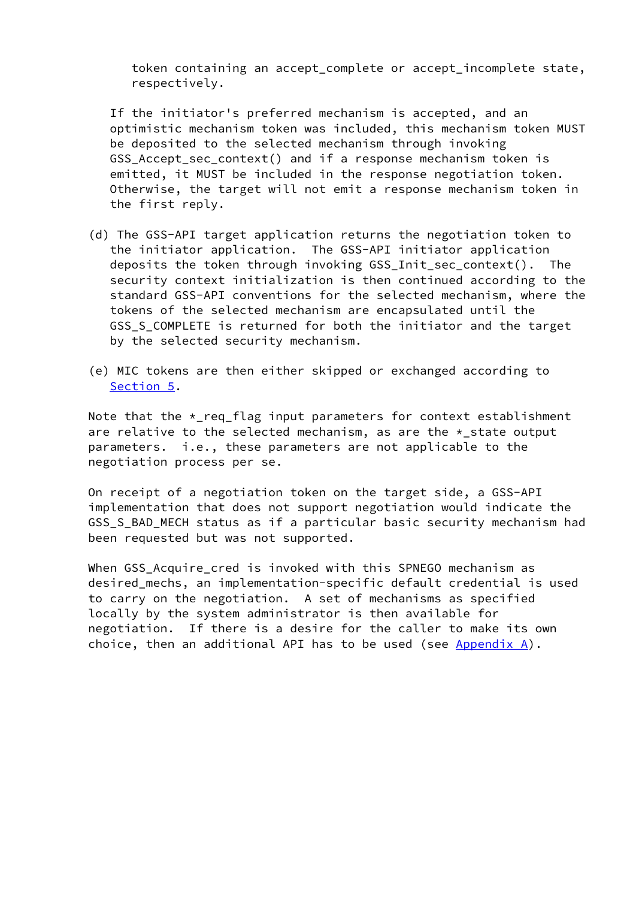token containing an accept\_complete or accept\_incomplete state, respectively.

 If the initiator's preferred mechanism is accepted, and an optimistic mechanism token was included, this mechanism token MUST be deposited to the selected mechanism through invoking GSS Accept sec context() and if a response mechanism token is emitted, it MUST be included in the response negotiation token. Otherwise, the target will not emit a response mechanism token in the first reply.

- (d) The GSS-API target application returns the negotiation token to the initiator application. The GSS-API initiator application deposits the token through invoking GSS\_Init\_sec\_context(). The security context initialization is then continued according to the standard GSS-API conventions for the selected mechanism, where the tokens of the selected mechanism are encapsulated until the GSS\_S\_COMPLETE is returned for both the initiator and the target by the selected security mechanism.
- (e) MIC tokens are then either skipped or exchanged according to [Section 5.](#page-13-0)

Note that the  $*$ -req flag input parameters for context establishment are relative to the selected mechanism, as are the \*\_state output parameters. i.e., these parameters are not applicable to the negotiation process per se.

 On receipt of a negotiation token on the target side, a GSS-API implementation that does not support negotiation would indicate the GSS\_S\_BAD\_MECH status as if a particular basic security mechanism had been requested but was not supported.

 When GSS\_Acquire\_cred is invoked with this SPNEGO mechanism as desired\_mechs, an implementation-specific default credential is used to carry on the negotiation. A set of mechanisms as specified locally by the system administrator is then available for negotiation. If there is a desire for the caller to make its own choice, then an additional API has to be used (see  $\Delta p$  and  $\Delta$ ).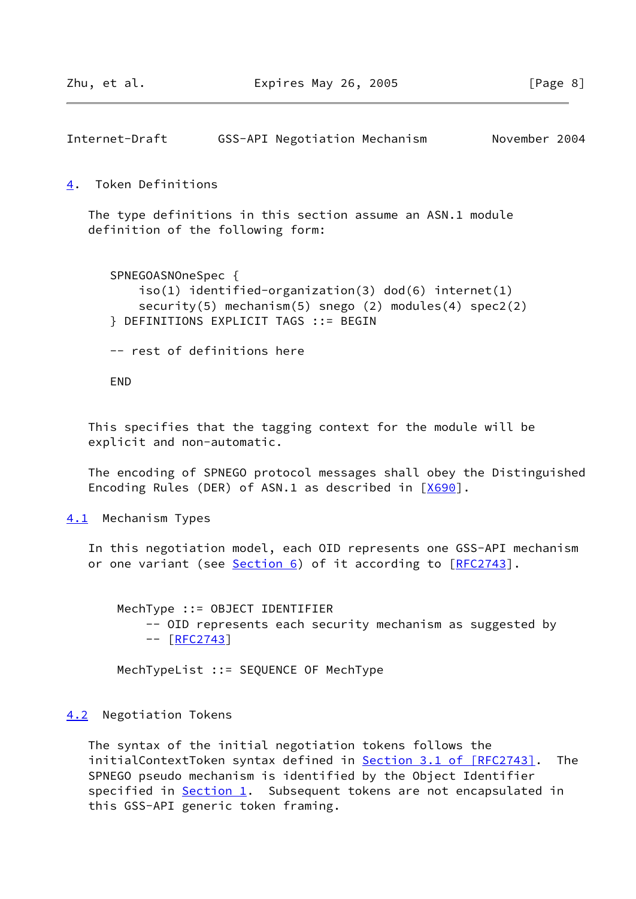```
Internet-Draft GSS-API Negotiation Mechanism November 2004
```
<span id="page-9-0"></span>[4](#page-9-0). Token Definitions

 The type definitions in this section assume an ASN.1 module definition of the following form:

```
 SPNEGOASNOneSpec {
     iso(1) identified-organization(3) dod(6) internet(1)
     security(5) mechanism(5) snego (2) modules(4) spec2(2)
 } DEFINITIONS EXPLICIT TAGS ::= BEGIN
 -- rest of definitions here
```
END

 This specifies that the tagging context for the module will be explicit and non-automatic.

 The encoding of SPNEGO protocol messages shall obey the Distinguished Encoding Rules (DER) of ASN.1 as described in [[X690\]](#page-20-3).

<span id="page-9-2"></span>[4.1](#page-9-2) Mechanism Types

 In this negotiation model, each OID represents one GSS-API mechanism or one variant (see [Section 6\)](#page-17-0) of it according to [[RFC2743](https://datatracker.ietf.org/doc/pdf/rfc2743)].

 MechType ::= OBJECT IDENTIFIER -- OID represents each security mechanism as suggested by -- [[RFC2743\]](https://datatracker.ietf.org/doc/pdf/rfc2743)

MechTypeList ::= SEQUENCE OF MechType

### <span id="page-9-3"></span>[4.2](#page-9-3) Negotiation Tokens

 The syntax of the initial negotiation tokens follows the initialContextToken syntax defined in **Section [3.1 of \[RFC2743\]](https://datatracker.ietf.org/doc/pdf/rfc2743#section-3.1)**. The SPNEGO pseudo mechanism is identified by the Object Identifier specified in [Section 1](#page-2-0). Subsequent tokens are not encapsulated in this GSS-API generic token framing.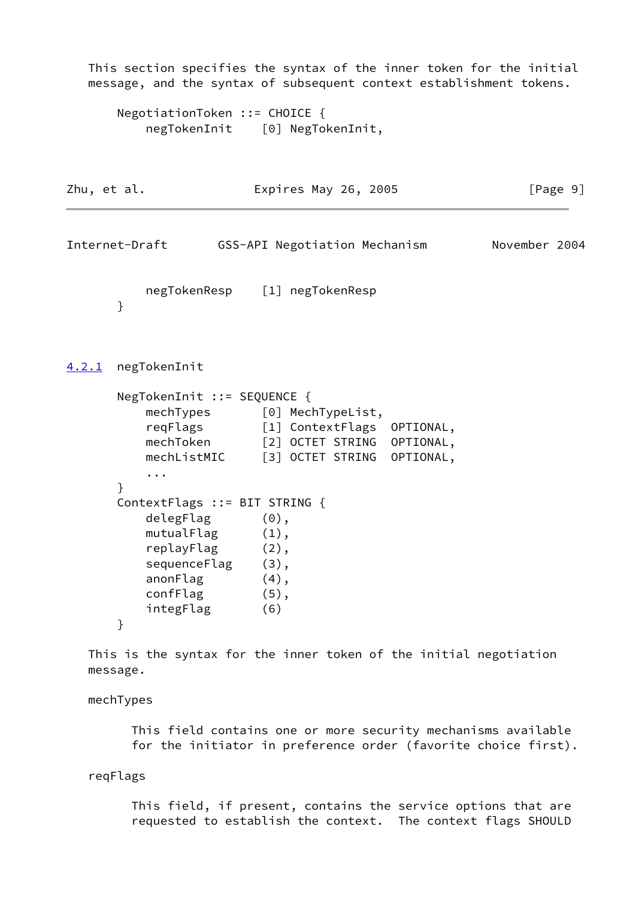```
 This section specifies the syntax of the inner token for the initial
   message, and the syntax of subsequent context establishment tokens.
       NegotiationToken ::= CHOICE {
          negTokenInit [0] NegTokenInit,
Zhu, et al. Expires May 26, 2005 [Page 9]
Internet-Draft GSS-API Negotiation Mechanism November 2004
          negTokenResp [1] negTokenResp
       }
4.2.1 negTokenInit
       NegTokenInit ::= SEQUENCE {
          mechTypes [0] MechTypeList,
          reqFlags [1] ContextFlags OPTIONAL,
         mechToken [2] OCTET STRING OPTIONAL,
         mechListMIC [3] OCTET STRING OPTIONAL,
           ...
       }
       ContextFlags ::= BIT STRING {
          delegFlag (0),
         mutualFlag (1),
           replayFlag (2),
          sequenceFlag (3),
           anonFlag (4),
          confFlag (5),
           integFlag (6)
       }
   This is the syntax for the inner token of the initial negotiation
   message.
```
mechTypes

 This field contains one or more security mechanisms available for the initiator in preference order (favorite choice first).

reqFlags

 This field, if present, contains the service options that are requested to establish the context. The context flags SHOULD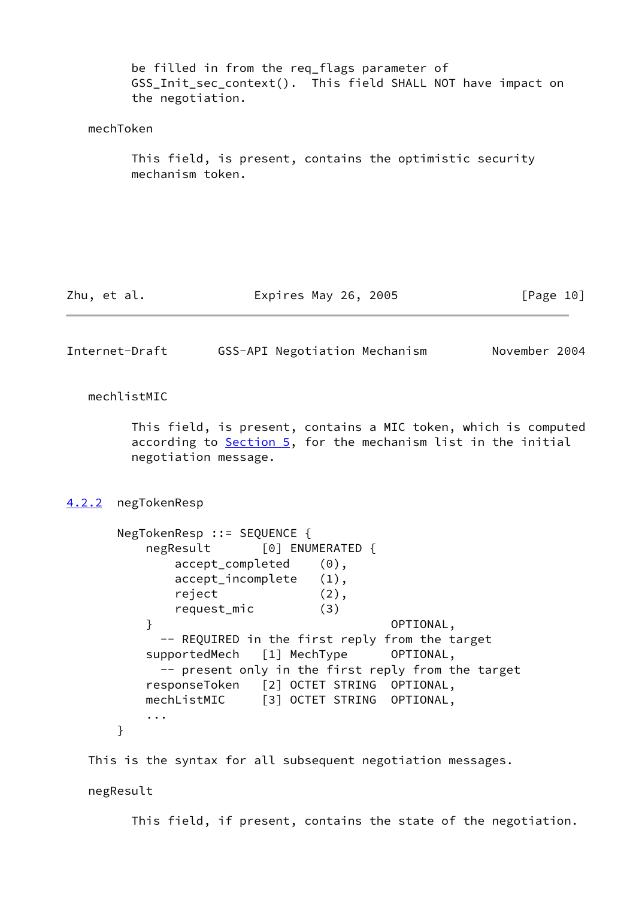<span id="page-11-1"></span>

|                | be filled in from the req_flags parameter of<br>GSS_Init_sec_context(). This field SHALL NOT have impact on<br>the negotiation.                                                                                                                                                                                                                                                                                                                                 |
|----------------|-----------------------------------------------------------------------------------------------------------------------------------------------------------------------------------------------------------------------------------------------------------------------------------------------------------------------------------------------------------------------------------------------------------------------------------------------------------------|
| mechToken      |                                                                                                                                                                                                                                                                                                                                                                                                                                                                 |
|                | This field, is present, contains the optimistic security<br>mechanism token.                                                                                                                                                                                                                                                                                                                                                                                    |
|                |                                                                                                                                                                                                                                                                                                                                                                                                                                                                 |
| Zhu, et al.    | Expires May 26, 2005<br>[Page 10]                                                                                                                                                                                                                                                                                                                                                                                                                               |
| Internet-Draft | GSS-API Negotiation Mechanism<br>November 2004                                                                                                                                                                                                                                                                                                                                                                                                                  |
| mechlistMIC    | This field, is present, contains a MIC token, which is computed<br>according to Section 5, for the mechanism list in the initial<br>negotiation message.                                                                                                                                                                                                                                                                                                        |
| <u>4.2.2</u>   | negTokenResp                                                                                                                                                                                                                                                                                                                                                                                                                                                    |
| }              | NegTokenResp ::= SEQUENCE {<br>[0] ENUMERATED {<br>negResult<br>accept_completed<br>$(0)$ ,<br>accept_incomplete<br>$(1)$ ,<br>reject<br>$(2)$ ,<br>(3)<br>request_mic<br>$\mathcal{F}$<br>OPTIONAL,<br>-- REQUIRED in the first reply from the target<br>supportedMech<br>[1] MechType<br>OPTIONAL,<br>-- present only in the first reply from the target<br>responseToken [2] OCTET STRING OPTIONAL,<br>[3] OCTET STRING OPTIONAL,<br>mechListMIC<br>$\cdots$ |
|                | This is the syntax for all subsequent negotiation messages.                                                                                                                                                                                                                                                                                                                                                                                                     |
| negResult      |                                                                                                                                                                                                                                                                                                                                                                                                                                                                 |

<span id="page-11-0"></span>This field, if present, contains the state of the negotiation.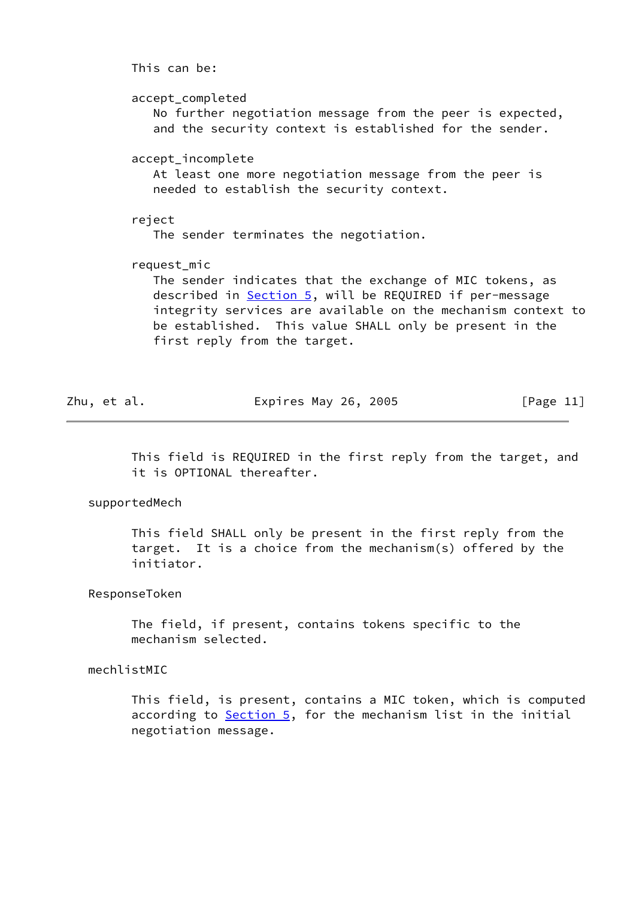This can be: accept\_completed No further negotiation message from the peer is expected, and the security context is established for the sender. accept\_incomplete At least one more negotiation message from the peer is needed to establish the security context. reject The sender terminates the negotiation. request\_mic The sender indicates that the exchange of MIC tokens, as described in [Section 5,](#page-13-0) will be REQUIRED if per-message integrity services are available on the mechanism context to be established. This value SHALL only be present in the first reply from the target.

Zhu, et al. **Expires May 26, 2005** [Page 11]

 This field is REQUIRED in the first reply from the target, and it is OPTIONAL thereafter.

supportedMech

 This field SHALL only be present in the first reply from the target. It is a choice from the mechanism(s) offered by the initiator.

ResponseToken

 The field, if present, contains tokens specific to the mechanism selected.

mechlistMIC

 This field, is present, contains a MIC token, which is computed according to [Section 5,](#page-13-0) for the mechanism list in the initial negotiation message.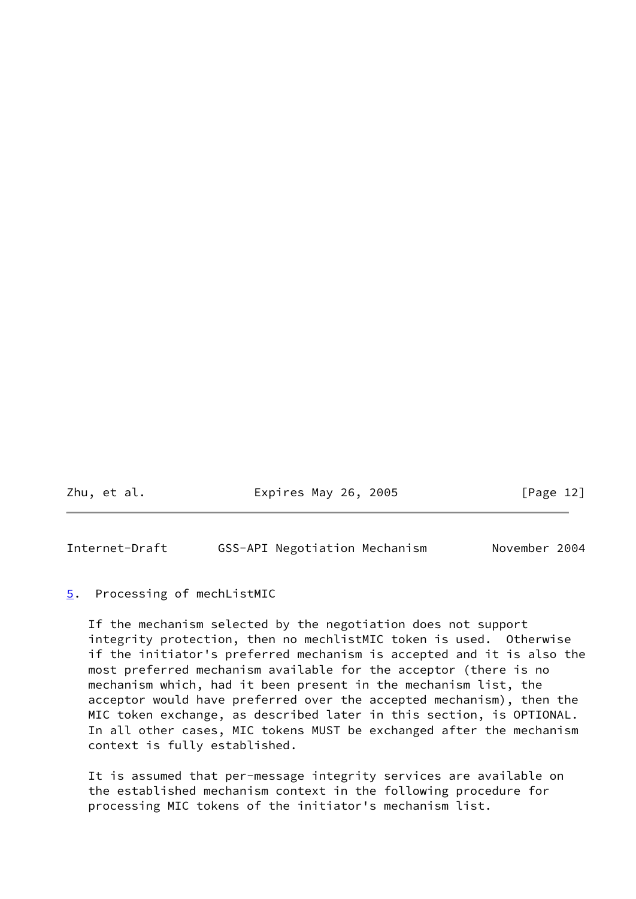Zhu, et al. **Expires May 26, 2005** [Page 12]

<span id="page-13-1"></span>Internet-Draft GSS-API Negotiation Mechanism November 2004

#### <span id="page-13-0"></span>[5](#page-13-0). Processing of mechListMIC

 If the mechanism selected by the negotiation does not support integrity protection, then no mechlistMIC token is used. Otherwise if the initiator's preferred mechanism is accepted and it is also the most preferred mechanism available for the acceptor (there is no mechanism which, had it been present in the mechanism list, the acceptor would have preferred over the accepted mechanism), then the MIC token exchange, as described later in this section, is OPTIONAL. In all other cases, MIC tokens MUST be exchanged after the mechanism context is fully established.

 It is assumed that per-message integrity services are available on the established mechanism context in the following procedure for processing MIC tokens of the initiator's mechanism list.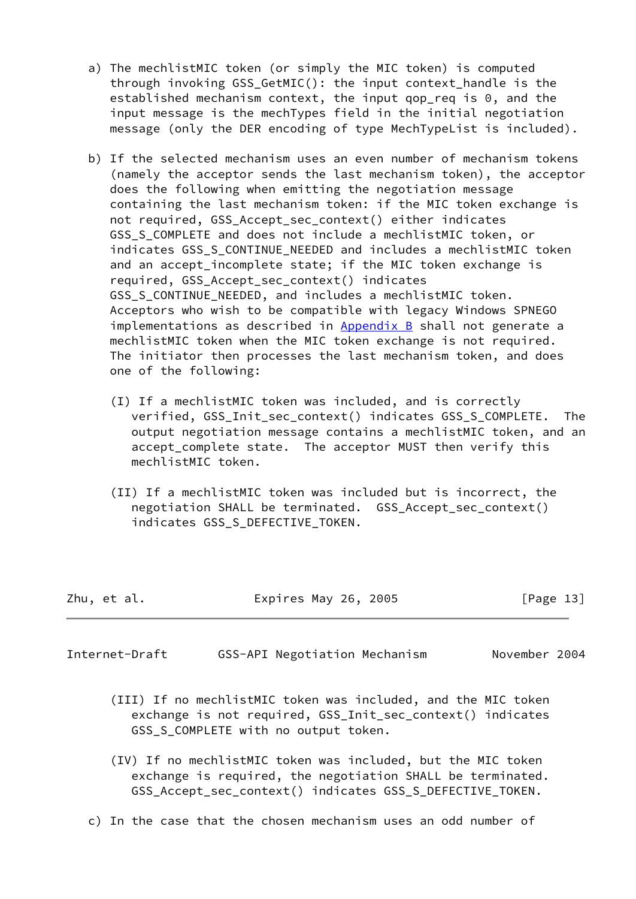- a) The mechlistMIC token (or simply the MIC token) is computed through invoking GSS\_GetMIC(): the input context\_handle is the established mechanism context, the input gop req is  $0$ , and the input message is the mechTypes field in the initial negotiation message (only the DER encoding of type MechTypeList is included).
- b) If the selected mechanism uses an even number of mechanism tokens (namely the acceptor sends the last mechanism token), the acceptor does the following when emitting the negotiation message containing the last mechanism token: if the MIC token exchange is not required, GSS\_Accept\_sec\_context() either indicates GSS\_S\_COMPLETE and does not include a mechlistMIC token, or indicates GSS S CONTINUE NEEDED and includes a mechlistMIC token and an accept\_incomplete state; if the MIC token exchange is required, GSS\_Accept\_sec\_context() indicates GSS S CONTINUE NEEDED, and includes a mechlistMIC token. Acceptors who wish to be compatible with legacy Windows SPNEGO implementations as described in [Appendix B](#page-25-0) shall not generate a mechlistMIC token when the MIC token exchange is not required. The initiator then processes the last mechanism token, and does one of the following:
	- (I) If a mechlistMIC token was included, and is correctly verified, GSS\_Init\_sec\_context() indicates GSS\_S\_COMPLETE. The output negotiation message contains a mechlistMIC token, and an accept\_complete state. The acceptor MUST then verify this mechlistMIC token.
	- (II) If a mechlistMIC token was included but is incorrect, the negotiation SHALL be terminated. GSS\_Accept\_sec\_context() indicates GSS\_S\_DEFECTIVE\_TOKEN.

| Zhu, et al. | Expires May 26, 2005 | [Page 13] |
|-------------|----------------------|-----------|
|-------------|----------------------|-----------|

- Internet-Draft GSS-API Negotiation Mechanism November 2004
	- (III) If no mechlistMIC token was included, and the MIC token exchange is not required, GSS\_Init\_sec\_context() indicates GSS\_S\_COMPLETE with no output token.
	- (IV) If no mechlistMIC token was included, but the MIC token exchange is required, the negotiation SHALL be terminated. GSS\_Accept\_sec\_context() indicates GSS\_S\_DEFECTIVE\_TOKEN.
	- c) In the case that the chosen mechanism uses an odd number of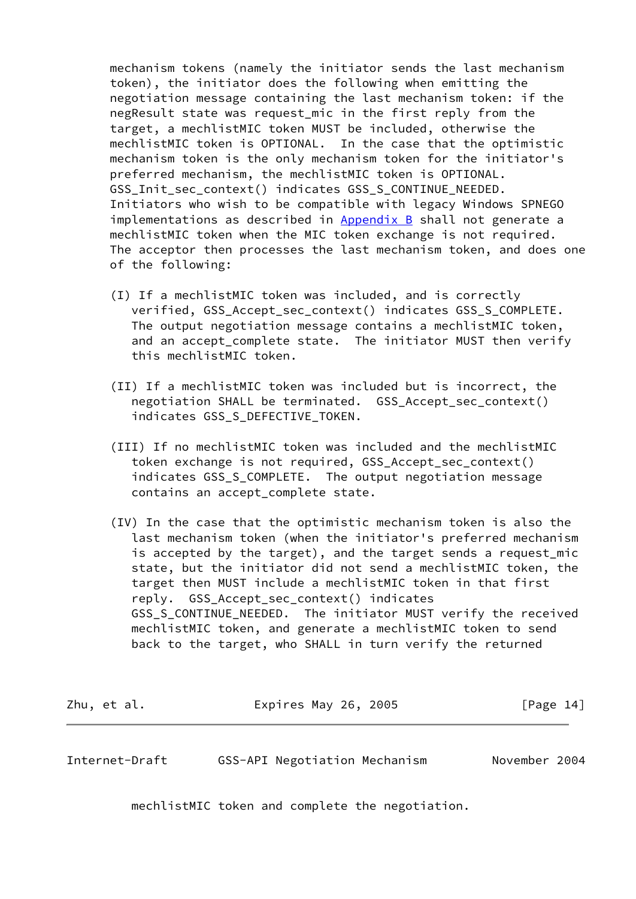mechanism tokens (namely the initiator sends the last mechanism token), the initiator does the following when emitting the negotiation message containing the last mechanism token: if the negResult state was request\_mic in the first reply from the target, a mechlistMIC token MUST be included, otherwise the mechlistMIC token is OPTIONAL. In the case that the optimistic mechanism token is the only mechanism token for the initiator's preferred mechanism, the mechlistMIC token is OPTIONAL. GSS\_Init\_sec\_context() indicates GSS\_S\_CONTINUE\_NEEDED. Initiators who wish to be compatible with legacy Windows SPNEGO implementations as described in  $Appendix B$  shall not generate a mechlistMIC token when the MIC token exchange is not required. The acceptor then processes the last mechanism token, and does one of the following:

- (I) If a mechlistMIC token was included, and is correctly verified, GSS Accept sec context() indicates GSS S COMPLETE. The output negotiation message contains a mechlistMIC token, and an accept\_complete state. The initiator MUST then verify this mechlistMIC token.
- (II) If a mechlistMIC token was included but is incorrect, the negotiation SHALL be terminated. GSS\_Accept\_sec\_context() indicates GSS\_S\_DEFECTIVE\_TOKEN.
- (III) If no mechlistMIC token was included and the mechlistMIC token exchange is not required, GSS\_Accept\_sec\_context() indicates GSS\_S\_COMPLETE. The output negotiation message contains an accept\_complete state.
- (IV) In the case that the optimistic mechanism token is also the last mechanism token (when the initiator's preferred mechanism is accepted by the target), and the target sends a request\_mic state, but the initiator did not send a mechlistMIC token, the target then MUST include a mechlistMIC token in that first reply. GSS Accept sec context() indicates GSS S CONTINUE NEEDED. The initiator MUST verify the received mechlistMIC token, and generate a mechlistMIC token to send back to the target, who SHALL in turn verify the returned

Zhu, et al. **Expires May 26, 2005** [Page 14]

Internet-Draft GSS-API Negotiation Mechanism November 2004

mechlistMIC token and complete the negotiation.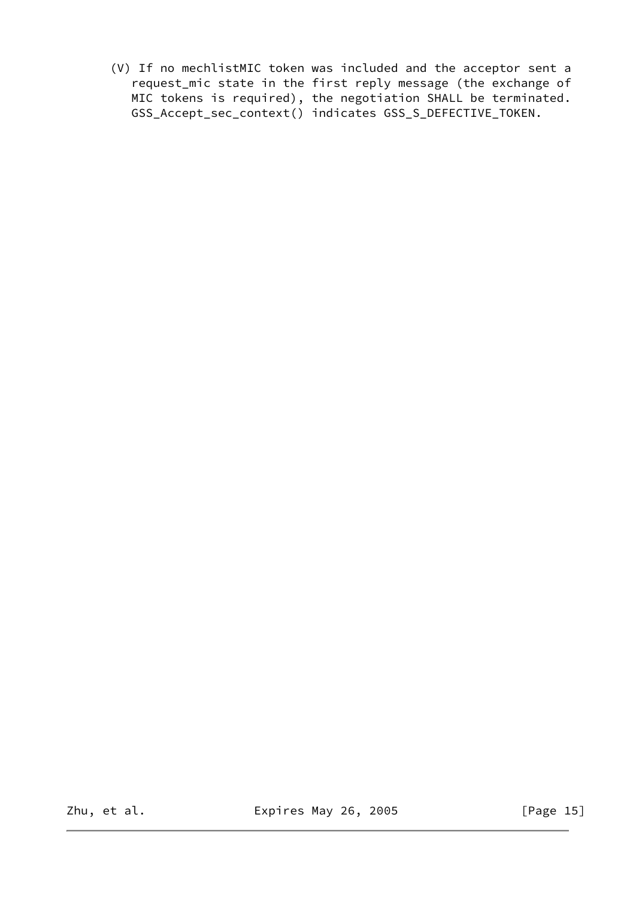(V) If no mechlistMIC token was included and the acceptor sent a request\_mic state in the first reply message (the exchange of MIC tokens is required), the negotiation SHALL be terminated. GSS\_Accept\_sec\_context() indicates GSS\_S\_DEFECTIVE\_TOKEN.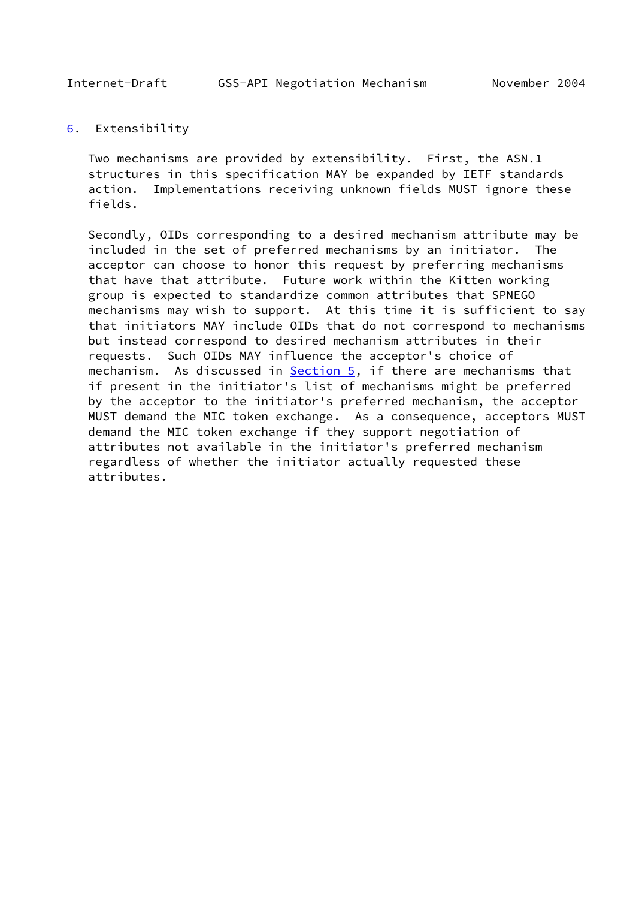<span id="page-17-1"></span>

## <span id="page-17-0"></span>[6](#page-17-0). Extensibility

 Two mechanisms are provided by extensibility. First, the ASN.1 structures in this specification MAY be expanded by IETF standards action. Implementations receiving unknown fields MUST ignore these fields.

 Secondly, OIDs corresponding to a desired mechanism attribute may be included in the set of preferred mechanisms by an initiator. The acceptor can choose to honor this request by preferring mechanisms that have that attribute. Future work within the Kitten working group is expected to standardize common attributes that SPNEGO mechanisms may wish to support. At this time it is sufficient to say that initiators MAY include OIDs that do not correspond to mechanisms but instead correspond to desired mechanism attributes in their requests. Such OIDs MAY influence the acceptor's choice of mechanism. As discussed in **Section 5**, if there are mechanisms that if present in the initiator's list of mechanisms might be preferred by the acceptor to the initiator's preferred mechanism, the acceptor MUST demand the MIC token exchange. As a consequence, acceptors MUST demand the MIC token exchange if they support negotiation of attributes not available in the initiator's preferred mechanism regardless of whether the initiator actually requested these attributes.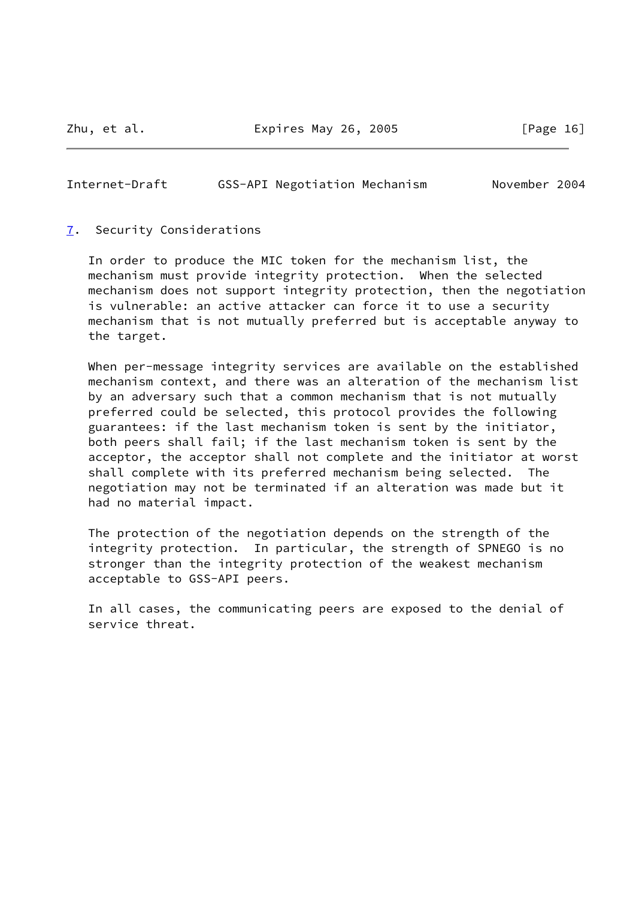### <span id="page-18-1"></span>Internet-Draft GSS-API Negotiation Mechanism November 2004

#### <span id="page-18-0"></span>[7](#page-18-0). Security Considerations

 In order to produce the MIC token for the mechanism list, the mechanism must provide integrity protection. When the selected mechanism does not support integrity protection, then the negotiation is vulnerable: an active attacker can force it to use a security mechanism that is not mutually preferred but is acceptable anyway to the target.

When per-message integrity services are available on the established mechanism context, and there was an alteration of the mechanism list by an adversary such that a common mechanism that is not mutually preferred could be selected, this protocol provides the following guarantees: if the last mechanism token is sent by the initiator, both peers shall fail; if the last mechanism token is sent by the acceptor, the acceptor shall not complete and the initiator at worst shall complete with its preferred mechanism being selected. The negotiation may not be terminated if an alteration was made but it had no material impact.

 The protection of the negotiation depends on the strength of the integrity protection. In particular, the strength of SPNEGO is no stronger than the integrity protection of the weakest mechanism acceptable to GSS-API peers.

 In all cases, the communicating peers are exposed to the denial of service threat.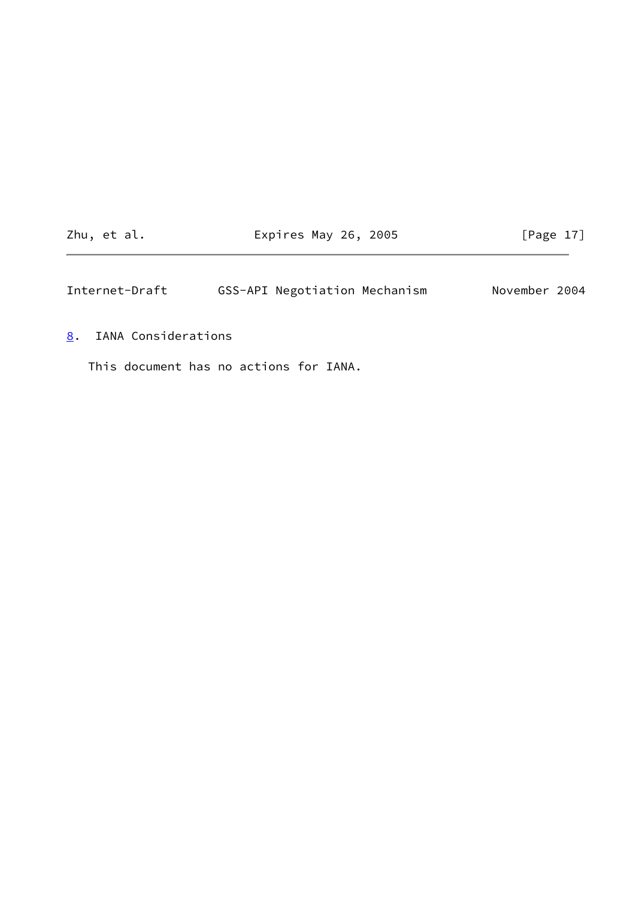Zhu, et al. **Expires May 26, 2005** [Page 17]

<span id="page-19-1"></span>Internet-Draft GSS-API Negotiation Mechanism November 2004

<span id="page-19-0"></span>[8](#page-19-0). IANA Considerations

This document has no actions for IANA.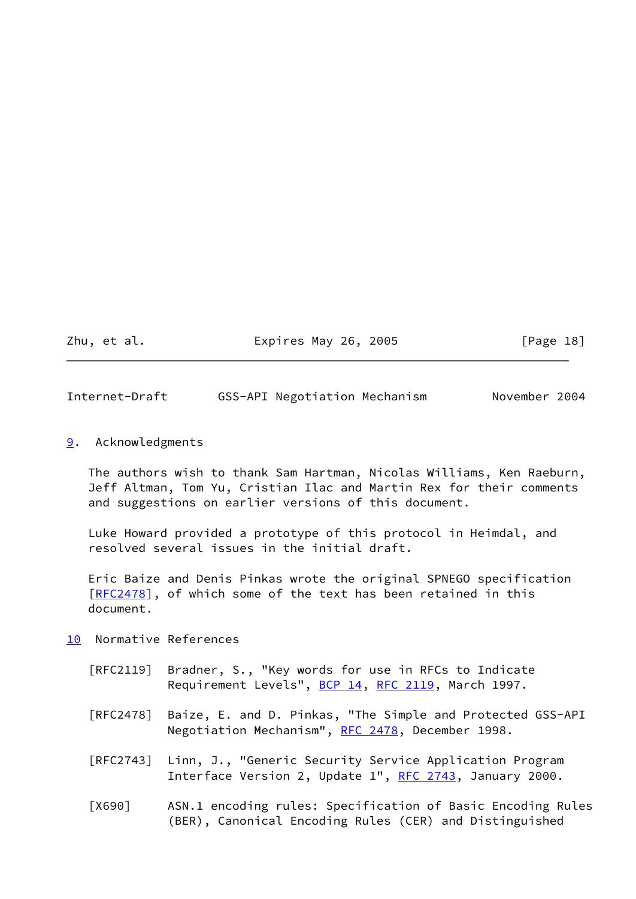Zhu, et al. **Expires May 26, 2005** [Page 18]

<span id="page-20-1"></span>Internet-Draft GSS-API Negotiation Mechanism November 2004

<span id="page-20-0"></span>[9](#page-20-0). Acknowledgments

 The authors wish to thank Sam Hartman, Nicolas Williams, Ken Raeburn, Jeff Altman, Tom Yu, Cristian Ilac and Martin Rex for their comments and suggestions on earlier versions of this document.

 Luke Howard provided a prototype of this protocol in Heimdal, and resolved several issues in the initial draft.

 Eric Baize and Denis Pinkas wrote the original SPNEGO specification [\[RFC2478](https://datatracker.ietf.org/doc/pdf/rfc2478)], of which some of the text has been retained in this document.

- <span id="page-20-3"></span><span id="page-20-2"></span>[10](#page-20-2) Normative References
	- [RFC2119] Bradner, S., "Key words for use in RFCs to Indicate Requirement Levels", [BCP 14](https://datatracker.ietf.org/doc/pdf/bcp14), [RFC 2119](https://datatracker.ietf.org/doc/pdf/rfc2119), March 1997.
	- [RFC2478] Baize, E. and D. Pinkas, "The Simple and Protected GSS-API Negotiation Mechanism", [RFC 2478,](https://datatracker.ietf.org/doc/pdf/rfc2478) December 1998.
	- [RFC2743] Linn, J., "Generic Security Service Application Program Interface Version 2, Update 1", [RFC 2743,](https://datatracker.ietf.org/doc/pdf/rfc2743) January 2000.
	- [X690] ASN.1 encoding rules: Specification of Basic Encoding Rules (BER), Canonical Encoding Rules (CER) and Distinguished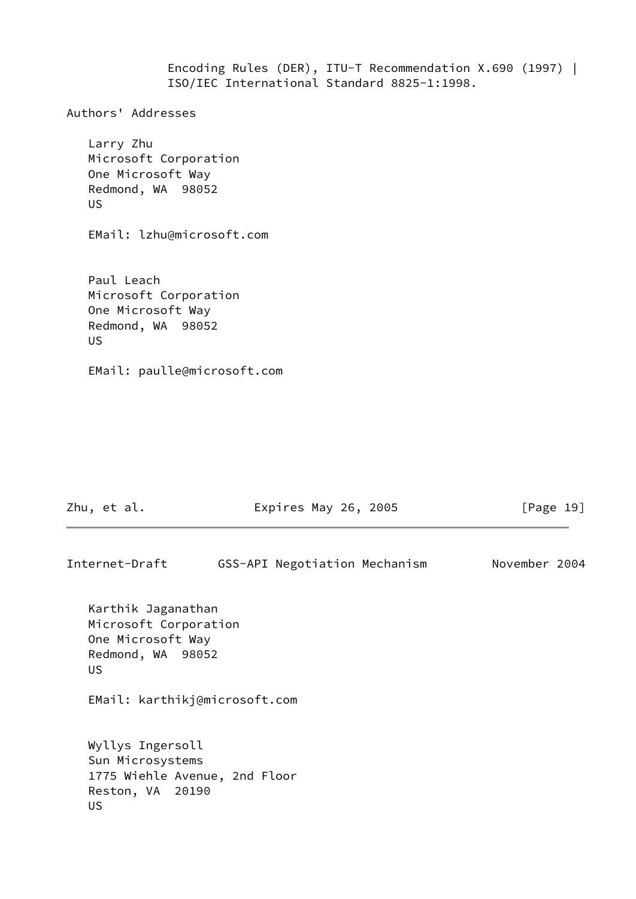Encoding Rules (DER), ITU-T Recommendation X.690 (1997) | ISO/IEC International Standard 8825-1:1998.

Authors' Addresses

 Larry Zhu Microsoft Corporation One Microsoft Way Redmond, WA 98052 US

EMail: lzhu@microsoft.com

 Paul Leach Microsoft Corporation One Microsoft Way Redmond, WA 98052 US

EMail: paulle@microsoft.com

Zhu, et al. **Expires May 26, 2005** [Page 19]

Internet-Draft GSS-API Negotiation Mechanism November 2004 Karthik Jaganathan Microsoft Corporation One Microsoft Way Redmond, WA 98052 US EMail: karthikj@microsoft.com Wyllys Ingersoll Sun Microsystems 1775 Wiehle Avenue, 2nd Floor Reston, VA 20190 US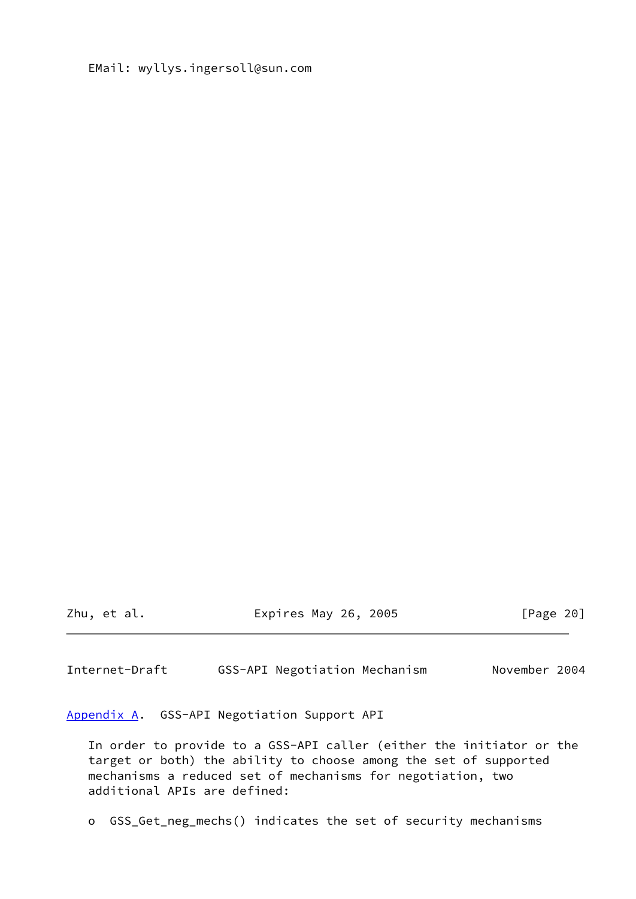## EMail: wyllys.ingersoll@sun.com

Zhu, et al. Expires May 26, 2005 [Page 20]

<span id="page-22-1"></span>Internet-Draft GSS-API Negotiation Mechanism November 2004

<span id="page-22-0"></span>[Appendix A.](#page-22-0) GSS-API Negotiation Support API

 In order to provide to a GSS-API caller (either the initiator or the target or both) the ability to choose among the set of supported mechanisms a reduced set of mechanisms for negotiation, two additional APIs are defined:

o GSS\_Get\_neg\_mechs() indicates the set of security mechanisms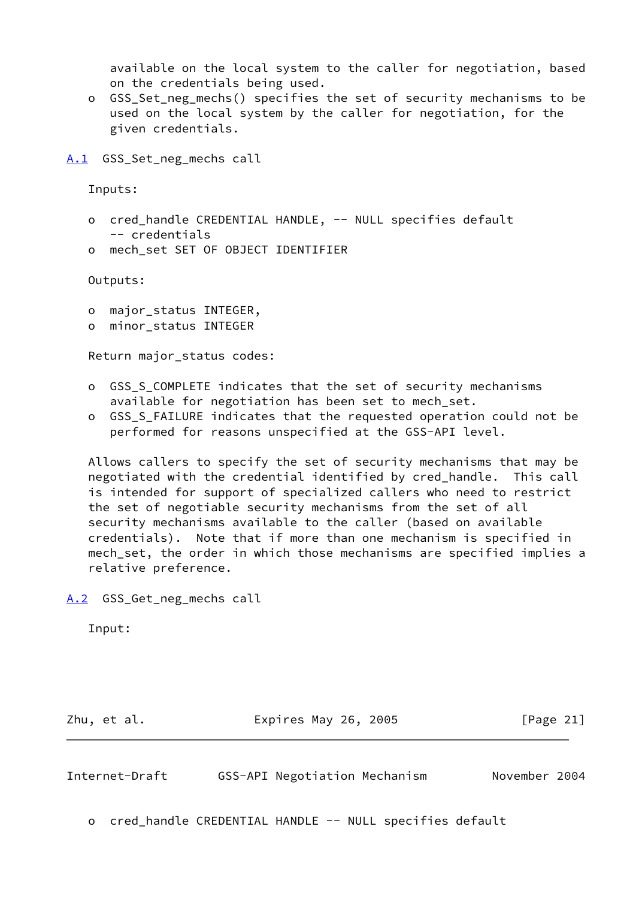available on the local system to the caller for negotiation, based on the credentials being used.

 o GSS\_Set\_neg\_mechs() specifies the set of security mechanisms to be used on the local system by the caller for negotiation, for the given credentials.

<span id="page-23-0"></span>[A.1](#page-23-0) GSS Set neg mechs call

Inputs:

- o cred\_handle CREDENTIAL HANDLE, -- NULL specifies default -- credentials
- o mech\_set SET OF OBJECT IDENTIFIER

Outputs:

- o major\_status INTEGER,
- o minor\_status INTEGER

Return major\_status codes:

- o GSS\_S\_COMPLETE indicates that the set of security mechanisms available for negotiation has been set to mech set.
- o GSS\_S\_FAILURE indicates that the requested operation could not be performed for reasons unspecified at the GSS-API level.

 Allows callers to specify the set of security mechanisms that may be negotiated with the credential identified by cred\_handle. This call is intended for support of specialized callers who need to restrict the set of negotiable security mechanisms from the set of all security mechanisms available to the caller (based on available credentials). Note that if more than one mechanism is specified in mech\_set, the order in which those mechanisms are specified implies a relative preference.

<span id="page-23-1"></span>[A.2](#page-23-1) GSS\_Get\_neg\_mechs call

Input:

Zhu, et al. **Expires May 26, 2005** [Page 21]

Internet-Draft GSS-API Negotiation Mechanism November 2004

o cred\_handle CREDENTIAL HANDLE -- NULL specifies default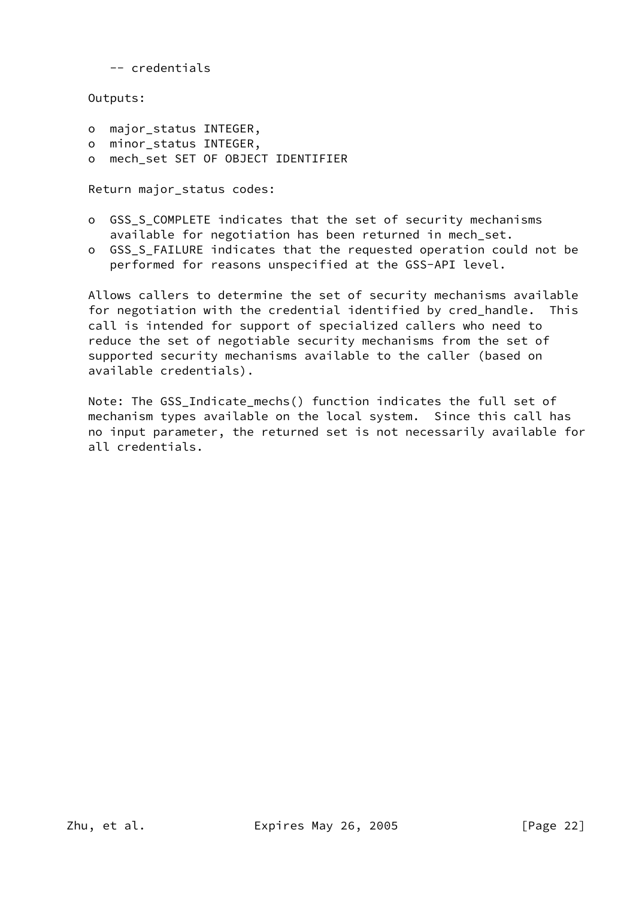-- credentials

Outputs:

- o major\_status INTEGER,
- o minor\_status INTEGER,
- o mech\_set SET OF OBJECT IDENTIFIER

Return major\_status codes:

- o GSS\_S\_COMPLETE indicates that the set of security mechanisms available for negotiation has been returned in mech\_set.
- o GSS S FAILURE indicates that the requested operation could not be performed for reasons unspecified at the GSS-API level.

 Allows callers to determine the set of security mechanisms available for negotiation with the credential identified by cred\_handle. This call is intended for support of specialized callers who need to reduce the set of negotiable security mechanisms from the set of supported security mechanisms available to the caller (based on available credentials).

 Note: The GSS\_Indicate\_mechs() function indicates the full set of mechanism types available on the local system. Since this call has no input parameter, the returned set is not necessarily available for all credentials.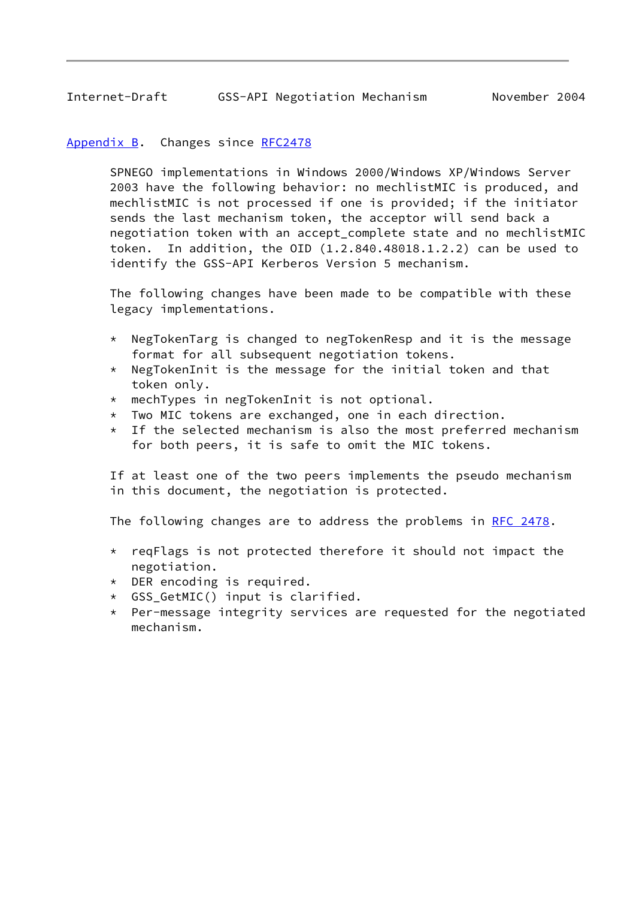## <span id="page-25-1"></span><span id="page-25-0"></span>[Appendix B.](#page-25-0) Changes since [RFC2478](https://datatracker.ietf.org/doc/pdf/rfc2478)

 SPNEGO implementations in Windows 2000/Windows XP/Windows Server 2003 have the following behavior: no mechlistMIC is produced, and mechlistMIC is not processed if one is provided; if the initiator sends the last mechanism token, the acceptor will send back a negotiation token with an accept\_complete state and no mechlistMIC token. In addition, the OID (1.2.840.48018.1.2.2) can be used to identify the GSS-API Kerberos Version 5 mechanism.

 The following changes have been made to be compatible with these legacy implementations.

- \* NegTokenTarg is changed to negTokenResp and it is the message format for all subsequent negotiation tokens.
- $*$  NegTokenInit is the message for the initial token and that token only.
- \* mechTypes in negTokenInit is not optional.
- \* Two MIC tokens are exchanged, one in each direction.
- \* If the selected mechanism is also the most preferred mechanism for both peers, it is safe to omit the MIC tokens.

 If at least one of the two peers implements the pseudo mechanism in this document, the negotiation is protected.

The following changes are to address the problems in [RFC 2478](https://datatracker.ietf.org/doc/pdf/rfc2478).

- \* reqFlags is not protected therefore it should not impact the negotiation.
- \* DER encoding is required.
- \* GSS\_GetMIC() input is clarified.
- \* Per-message integrity services are requested for the negotiated mechanism.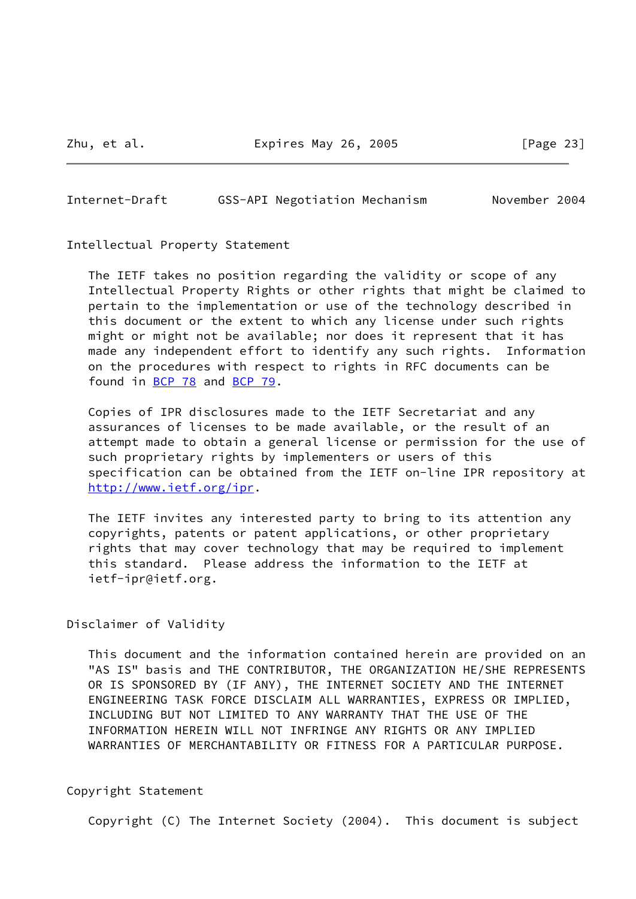Zhu, et al. **Expires May 26, 2005** [Page 23]

<span id="page-26-0"></span>Internet-Draft GSS-API Negotiation Mechanism November 2004

Intellectual Property Statement

 The IETF takes no position regarding the validity or scope of any Intellectual Property Rights or other rights that might be claimed to pertain to the implementation or use of the technology described in this document or the extent to which any license under such rights might or might not be available; nor does it represent that it has made any independent effort to identify any such rights. Information on the procedures with respect to rights in RFC documents can be found in [BCP 78](https://datatracker.ietf.org/doc/pdf/bcp78) and [BCP 79](https://datatracker.ietf.org/doc/pdf/bcp79).

 Copies of IPR disclosures made to the IETF Secretariat and any assurances of licenses to be made available, or the result of an attempt made to obtain a general license or permission for the use of such proprietary rights by implementers or users of this specification can be obtained from the IETF on-line IPR repository at <http://www.ietf.org/ipr>.

 The IETF invites any interested party to bring to its attention any copyrights, patents or patent applications, or other proprietary rights that may cover technology that may be required to implement this standard. Please address the information to the IETF at ietf-ipr@ietf.org.

Disclaimer of Validity

 This document and the information contained herein are provided on an "AS IS" basis and THE CONTRIBUTOR, THE ORGANIZATION HE/SHE REPRESENTS OR IS SPONSORED BY (IF ANY), THE INTERNET SOCIETY AND THE INTERNET ENGINEERING TASK FORCE DISCLAIM ALL WARRANTIES, EXPRESS OR IMPLIED, INCLUDING BUT NOT LIMITED TO ANY WARRANTY THAT THE USE OF THE INFORMATION HEREIN WILL NOT INFRINGE ANY RIGHTS OR ANY IMPLIED WARRANTIES OF MERCHANTABILITY OR FITNESS FOR A PARTICULAR PURPOSE.

Copyright Statement

Copyright (C) The Internet Society (2004). This document is subject